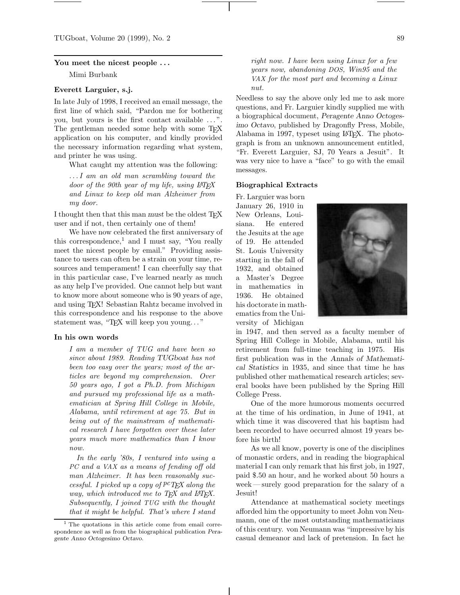#### **You meet the nicest people . . .**

Mimi Burbank

# **Everett Larguier, s.j.**

In late July of 1998, I received an email message, the first line of which said, "Pardon me for bothering you, but yours is the first contact available ...". The gentleman needed some help with some T<sub>EX</sub> application on his computer, and kindly provided the necessary information regarding what system, and printer he was using.

What caught my attention was the following:

*. . . I am an old man scrambling toward the door of the 90th year of my life, using L*A*TEX and Linux to keep old man Alzheimer from my door.*

I thought then that this man *must* be the oldest T<sub>E</sub>X user and if not, then certainly one of them!

We have now celebrated the first anniversary of this correspondence,<sup>1</sup> and I must say, "You really meet the nicest people by email." Providing assistance to users can often be a strain on your time, resources and temperament! I can cheerfully say that in this particular case, I've learned nearly as much as any help I've provided. One cannot help but want to know more about someone who is 90 years of age, and using TEX! Sebastian Rahtz became involved in this correspondence and his response to the above statement was, "TEX will keep you young..."

#### **In his own words**

*I am a member of TUG and have been so since about 1989. Reading TUGboat has not been too easy over the years; most of the articles are beyond my comprehension. Over 50 years ago, I got a Ph.D. from Michigan and pursued my professional life as a mathematician at Spring Hill College in Mobile, Alabama, until retirement at age 75. But in being out of the mainstream of mathematical research I have forgotten over these later years much more mathematics than I know now.*

*In the early '80s, I ventured into using a* PC *and a* VAX *as a means of fending off old man Alzheimer. It has been reasonably successful. I picked up a copy of pcTEX along the way, which introduced me to T<sub>F</sub>X and L<sup>4</sup>T<sub>F</sub>X. Subsequently, I joined* TUG *with the thought that it might be helpful. That's where I stand* *right now. I have been using Linux for a few years now, abandoning* DOS*, Win95 and the* VAX *for the most part and becoming a Linux nut.*

Needless to say the above only led me to ask more questions, and Fr. Larguier kindly supplied me with a biographical document, *Peragente Anno Octogesimo Octavo*, published by Dragonfly Press, Mobile, Alabama in 1997, typeset using LAT<sub>EX</sub>. The photograph is from an unknown announcement entitled, "Fr. Everett Larguier, SJ, 70 Years a Jesuit". It was very nice to have a "face" to go with the email messages.

## **Biographical Extracts**

Fr. Larguier was born January 26, 1910 in New Orleans, Louisiana. He entered the Jesuits at the age of 19. He attended St. Louis University starting in the fall of 1932, and obtained a Master's Degree in mathematics in 1936. He obtained his doctorate in mathematics from the University of Michigan



in 1947, and then served as a faculty member of Spring Hill College in Mobile, Alabama, until his retirement from full-time teaching in 1975. His first publication was in the *Annals of Mathematical Statistics* in 1935, and since that time he has published other mathematical research articles; several books have been published by the Spring Hill College Press.

One of the more humorous moments occurred at the time of his ordination, in June of 1941, at which time it was discovered that his baptism had been recorded to have occurred almost 19 years before his birth!

As we all know, poverty is one of the disciplines of monastic orders, and in reading the biographical material I can only remark that his first job, in 1927, paid \$.50 an hour, and he worked about 50 hours a week — surely good preparation for the salary of a Jesuit!

Attendance at mathematical society meetings afforded him the opportunity to meet John von Neumann, one of the most outstanding mathematicians of this century. von Neumann was "impressive by his casual demeanor and lack of pretension. In fact he

<sup>&</sup>lt;sup>1</sup> The quotations in this article come from email correspondence as well as from the biographical publication Peragente Anno Octogesimo Octavo.